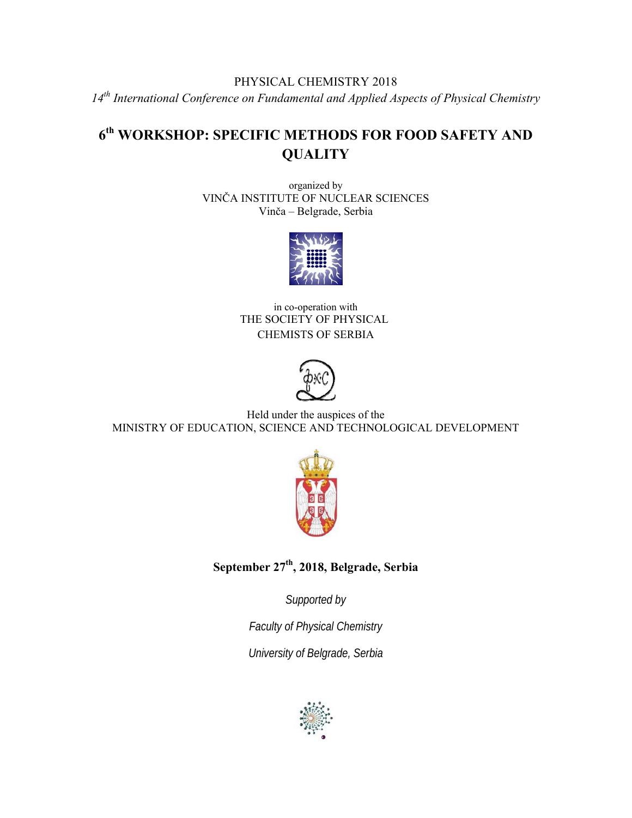## PHYSICAL CHEMISTRY 2018 *14th International Conference on Fundamental and Applied Aspects of Physical Chemistry*

# **6th WORKSHOP: SPECIFIC METHODS FOR FOOD SAFETY AND QUALITY**

organized by VINČA INSTITUTE OF NUCLEAR SCIENCES Vinča – Belgrade, Serbia



in co-operation with THE SOCIETY OF PHYSICAL CHEMISTS OF SERBIA



Held under the auspices of the MINISTRY OF EDUCATION, SCIENCE AND TECHNOLOGICAL DEVELOPMENT



**September 27th, 2018, Belgrade, Serbia** 

*Supported by* 

*Faculty of Physical Chemistry* 

*University of Belgrade, Serbia* 

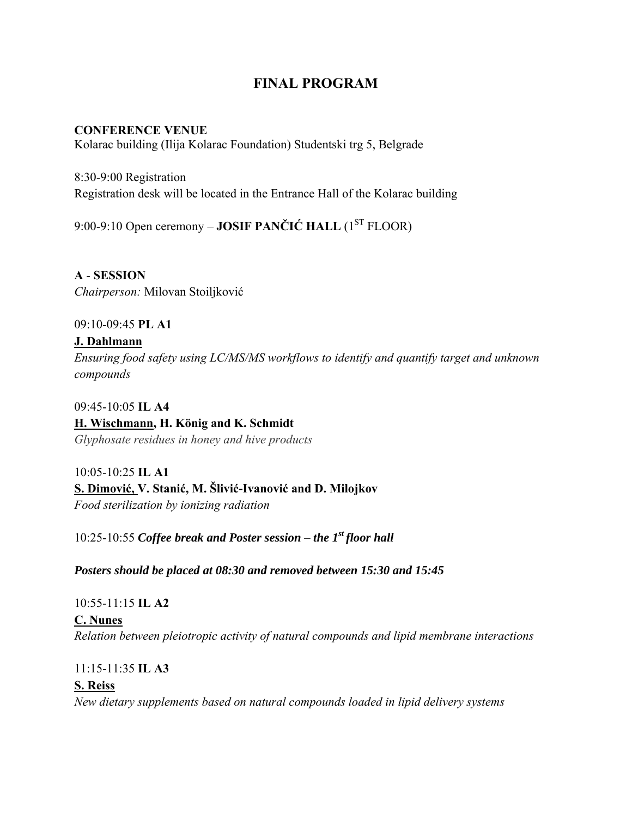## **FINAL PROGRAM**

## **CONFERENCE VENUE**

Kolarac building (Ilija Kolarac Foundation) Studentski trg 5, Belgrade

8:30-9:00 Registration Registration desk will be located in the Entrance Hall of the Kolarac building

9:00-9:10 Open ceremony – **JOSIF PANČIĆ HALL** (1ST FLOOR)

**A** - **SESSION**  *Chairperson:* Milovan Stoiljković

09:10-09:45 **PL A1**

## **J. Dahlmann**

*Ensuring food safety using LC/MS/MS workflows to identify and quantify target and unknown compounds* 

09:45-10:05 **IL A4** 

## **H. Wischmann, H. König and K. Schmidt**

*Glyphosate residues in honey and hive products*

10:05-10:25 **IL A1 S. Dimović, V. Stanić, M. Šlivić-Ivanović and D. Milojkov** *Food sterilization by ionizing radiation* 

10:25-10:55 *Coffee break and Poster session – the 1st floor hall* 

*Posters should be placed at 08:30 and removed between 15:30 and 15:45* 

10:55-11:15 **IL A2**

**C. Nunes** *Relation between pleiotropic activity of natural compounds and lipid membrane interactions* 

11:15-11:35 **IL A3**

## **S. Reiss**  *New dietary supplements based on natural compounds loaded in lipid delivery systems*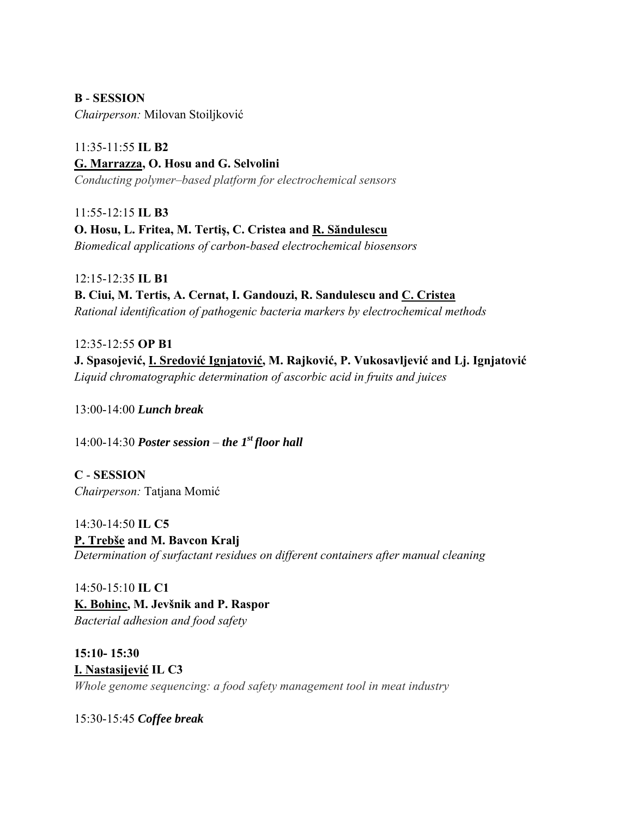**B** - **SESSION** 

*Chairperson:* Milovan Stoiljković

11:35-11:55 **IL B2 G. Marrazza, O. Hosu and G. Selvolini**  *Conducting polymer–based platform for electrochemical sensors* 

11:55-12:15 **IL B3 O. Hosu, L. Fritea, M. Tertiş, C. Cristea and R. Săndulescu** *Biomedical applications of carbon-based electrochemical biosensors* 

12:15-12:35 **IL B1 B. Ciui, M. Tertis, A. Cernat, I. Gandouzi, R. Sandulescu and C. Cristea** *Rational identification of pathogenic bacteria markers by electrochemical methods* 

12:35-12:55 **OP B1 J. Spasojević, I. Sredović Ignjatović, M. Rajković, P. Vukosavljević and Lj. Ignjatović** *Liquid chromatographic determination of ascorbic acid in fruits and juices*

13:00-14:00 *Lunch break*

14:00-14:30 *Poster session – the 1<sup>st</sup> floor hall* 

**C** - **SESSION**  *Chairperson:* Tatjana Momić

14:30-14:50 **IL C5 P. Trebše and M. Bavcon Kralj** *Determination of surfactant residues on different containers after manual cleaning*

14:50-15:10 **IL C1 K. Bohinc, M. Jevšnik and P. Raspor** *Bacterial adhesion and food safety* 

**15:10- 15:30 I. Nastasijević IL C3**  *Whole genome sequencing: a food safety management tool in meat industry* 

15:30-15:45 *Coffee break*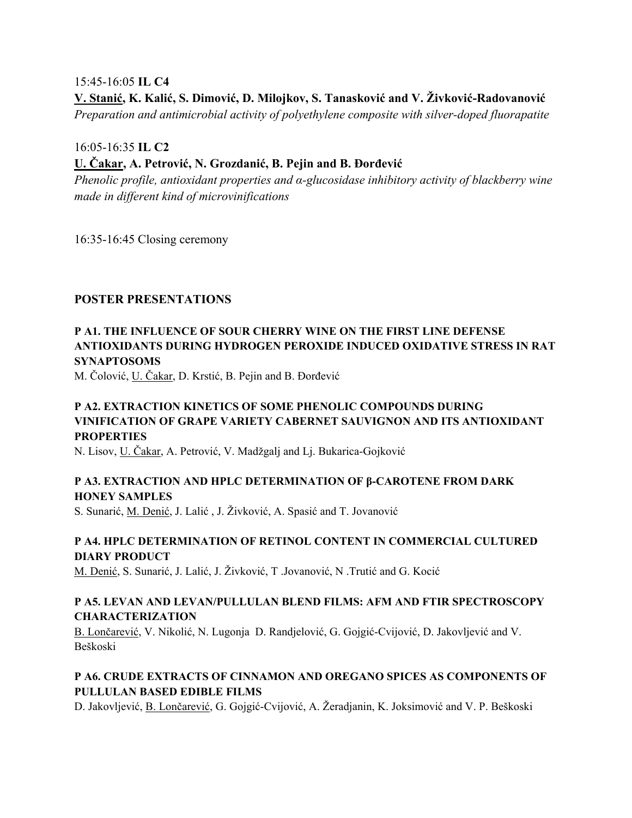#### 15:45-16:05 **IL C4**

**V. Stanić, K. Kalić, S. Dimović, D. Milojkov, S. Tanasković and V. Živković-Radovanović** 

*Preparation and antimicrobial activity of polyethylene composite with silver-doped fluorapatite* 

16:05-16:35 **IL C2** 

## **U. Čakar, A. Petrović, N. Grozdanić, B. Pejin and B. Đorđević**

*Phenolic profile, antioxidant properties and α-glucosidase inhibitory activity of blackberry wine made in different kind of microvinifications* 

16:35-16:45 Closing ceremony

### **POSTER PRESENTATIONS**

## **P A1. THE INFLUENCE OF SOUR CHERRY WINE ON THE FIRST LINE DEFENSE ANTIOXIDANTS DURING HYDROGEN PEROXIDE INDUCED OXIDATIVE STRESS IN RAT SYNAPTOSOMS**

M. Čolović, U. Čakar, D. Krstić, B. Pejin and B. Đorđević

## **P A2. EXTRACTION KINETICS OF SOME PHENOLIC COMPOUNDS DURING VINIFICATION OF GRAPE VARIETY CABERNET SAUVIGNON AND ITS ANTIOXIDANT PROPERTIES**

N. Lisov, U. Čakar, A. Petrović, V. Madžgalj and Lj. Bukarica-Gojković

## **P A3. EXTRACTION AND HPLC DETERMINATION OF β-CAROTENE FROM DARK HONEY SAMPLES**

S. Sunarić, M. Denić, J. Lalić , J. Živković, A. Spasić and T. Jovanović

## **P A4. HPLC DETERMINATION OF RETINOL CONTENT IN COMMERCIAL CULTURED DIARY PRODUCT**

M. Denić, S. Sunarić, J. Lalić, J. Živković, T .Jovanović, N .Trutić and G. Kocić

### **P A5. LEVAN AND LEVAN/PULLULAN BLEND FILMS: AFM AND FTIR SPECTROSCOPY CHARACTERIZATION**

B. Lončarević, V. Nikolić, N. Lugonja D. Randjelović, G. Gojgić-Cvijović, D. Jakovljević and V. Beškoski

### **P A6. CRUDE EXTRACTS OF CINNAMON AND OREGANO SPICES AS COMPONENTS OF PULLULAN BASED EDIBLE FILMS**

D. Jakovljević, B. Lončarević, G. Gojgić-Cvijović, A. Žeradjanin, K. Joksimović and V. P. Beškoski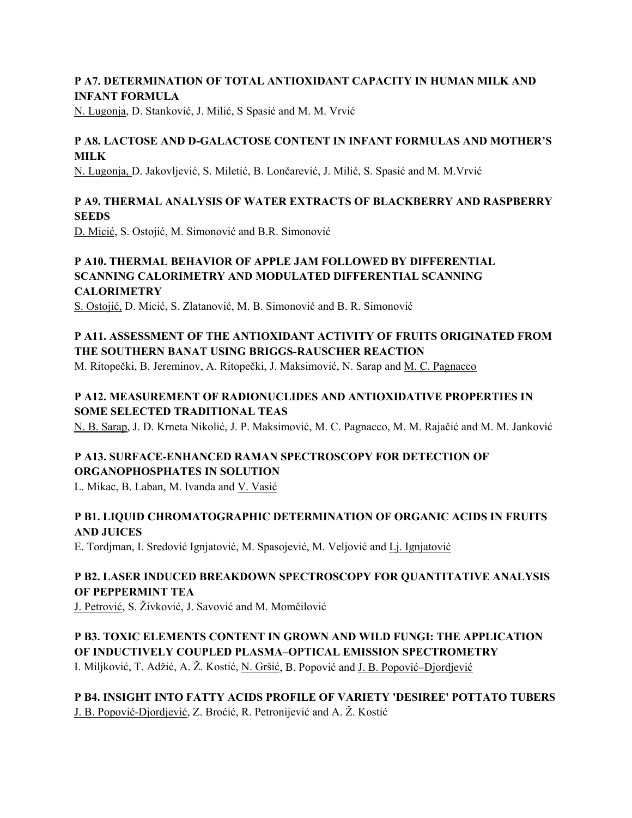#### **P A7. DETERMINATION OF TOTAL ANTIOXIDANT CAPACITY IN HUMAN MILK AND INFANT FORMULA**

N. Lugonja, D. Stanković, J. Milić, S Spasić and M. M. Vrvić

## **P A8. LACTOSE AND D-GALACTOSE CONTENT IN INFANT FORMULAS AND MOTHER'S MILK**

N. Lugonja, D. Jakovljević, S. Miletić, B. Lončarević, J. Milić, S. Spasić and M. M.Vrvić

## **P A9. THERMAL ANALYSIS OF WATER EXTRACTS OF BLACKBERRY AND RASPBERRY SEEDS**

D. Micić, S. Ostojić, M. Simonović and B.R. Simonović

## **P A10. THERMAL BEHAVIOR OF APPLE JAM FOLLOWED BY DIFFERENTIAL SCANNING CALORIMETRY AND MODULATED DIFFERENTIAL SCANNING CALORIMETRY**

S. Ostojić, D. Micić, S. Zlatanović, M. B. Simonović and B. R. Simonović

## **P A11. ASSESSMENT OF THE ANTIOXIDANT ACTIVITY OF FRUITS ORIGINATED FROM THE SOUTHERN BANAT USING BRIGGS-RAUSCHER REACTION**

M. Ritopečki, B. Jereminov, A. Ritopečki, J. Maksimović, N. Sarap and M. C. Pagnacco

## **P A12. MEASUREMENT OF RADIONUCLIDES AND ANTIOXIDATIVE PROPERTIES IN SOME SELECTED TRADITIONAL TEAS**

N. B. Sarap, J. D. Krneta Nikolić, J. P. Maksimović, M. C. Pagnacco, M. M. Rajačić and M. M. Janković

## **P A13. SURFACE-ENHANCED RAMAN SPECTROSCOPY FOR DETECTION OF ORGANOPHOSPHATES IN SOLUTION**

L. Mikac, B. Laban, M. Ivanda and V. Vasić

## **P B1. LIQUID CHROMATOGRAPHIC DETERMINATION OF ORGANIC ACIDS IN FRUITS AND JUICES**

E. Tordjman, I. Sredović Ignjatović, M. Spasojević, M. Veljović and Lj. Ignjatović

## **P B2. LASER INDUCED BREAKDOWN SPECTROSCOPY FOR QUANTITATIVE ANALYSIS OF PEPPERMINT TEA**

J. Petrović, S. Živković, J. Savović and M. Momčilović

#### **P B3. TOXIC ELEMENTS CONTENT IN GROWN AND WILD FUNGI: THE APPLICATION OF INDUCTIVELY COUPLED PLASMA–OPTICAL EMISSION SPECTROMETRY**

I. Miljković, T. Adžić, A. Ž. Kostić, N. Gršić, B. Popović and J. B. Popović–Djordjević

## **P B4. INSIGHT INTO FATTY ACIDS PROFILE OF VARIETY 'DESIREE' POTTATO TUBERS**

J. B. Popović-Djordjević, Z. Broćić, R. Petronijević and A. Ž. Kostić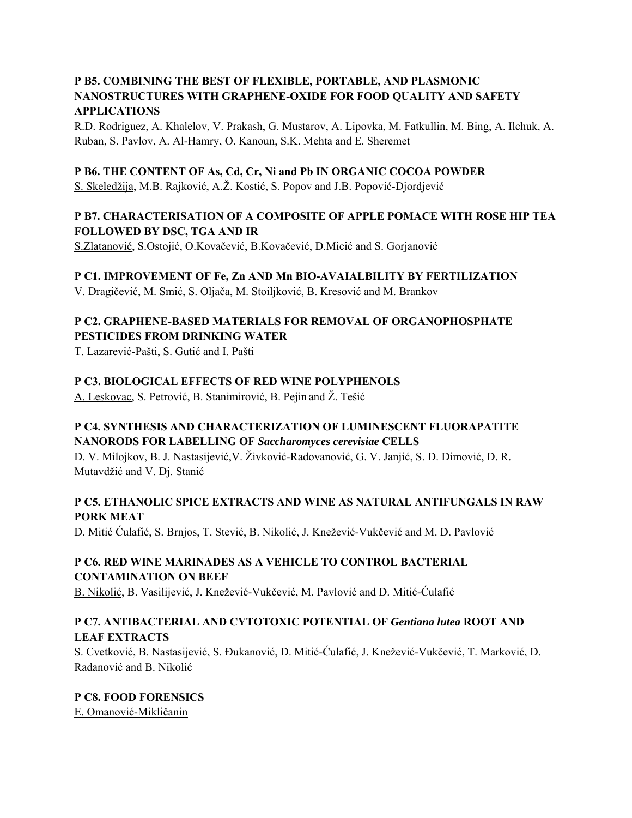### **P B5. COMBINING THE BEST OF FLEXIBLE, PORTABLE, AND PLASMONIC NANOSTRUCTURES WITH GRAPHENE-OXIDE FOR FOOD QUALITY AND SAFETY APPLICATIONS**

R.D. Rodriguez, A. Khalelov, V. Prakash, G. Mustarov, A. Lipovka, M. Fatkullin, M. Bing, A. Ilchuk, A. Ruban, S. Pavlov, A. Al-Hamry, O. Kanoun, S.K. Mehta and E. Sheremet

#### **P B6. THE CONTENT OF As, Cd, Cr, Ni and Pb IN ORGANIC COCOA POWDER**

S. Skeledžija, M.B. Rajković, A.Ž. Kostić, S. Popov and J.B. Popović-Djordjević

## **P B7. CHARACTERISATION OF A COMPOSITE OF APPLE POMACE WITH ROSE HIP TEA FOLLOWED BY DSC, TGA AND IR**

S.Zlatanović, S.Ostojić, O.Kovačević, B.Kovačević, D.Micić and S. Gorjanović

#### **P C1. IMPROVEMENT OF Fe, Zn AND Mn BIO-AVAIALBILITY BY FERTILIZATION**

V. Dragičević, M. Smić, S. Oljača, M. Stoiljković, B. Kresović and M. Brankov

## **P C2. GRAPHENE-BASED MATERIALS FOR REMOVAL OF ORGANOPHOSPHATE PESTICIDES FROM DRINKING WATER**

T. Lazarević-Pašti, S. Gutić and I. Pašti

### **P C3. BIOLOGICAL EFFECTS OF RED WINE POLYPHENOLS**

A. Leskovac, S. Petrović, B. Stanimirović, B. Pejin and Ž. Tešić

### **P C4. SYNTHESIS AND CHARACTERIZATION OF LUMINESCENT FLUORAPATITE NANORODS FOR LABELLING OF** *Saccharomyces cerevisiae* **CELLS**

D. V. Milojkov, B. J. Nastasijević,V. Živković-Radovanović, G. V. Janjić, S. D. Dimović, D. R. Mutavdžić and V. Dj. Stanić

## **P C5. ETHANOLIC SPICE EXTRACTS AND WINE AS NATURAL ANTIFUNGALS IN RAW PORK MEAT**

D. Mitić Ćulafić, S. Brnjos, T. Stević, B. Nikolić, J. Knežević-Vukčević and M. D. Pavlović

## **P C6. RED WINE MARINADES AS A VEHICLE TO CONTROL BACTERIAL CONTAMINATION ON BEEF**

B. Nikolić, B. Vasilijević, J. Knežević-Vukčević, M. Pavlović and D. Mitić-Ćulafić

### **P C7. ANTIBACTERIAL AND CYTOTOXIC POTENTIAL OF** *Gentiana lutea* **ROOT AND LEAF EXTRACTS**

S. Cvetković, B. Nastasijević, S. Đukanović, D. Mitić-Ćulafić, J. Knežević-Vukčević, T. Marković, D. Radanović and B. Nikolić

#### **P C8. FOOD FORENSICS**

E. Omanović-Mikličanin